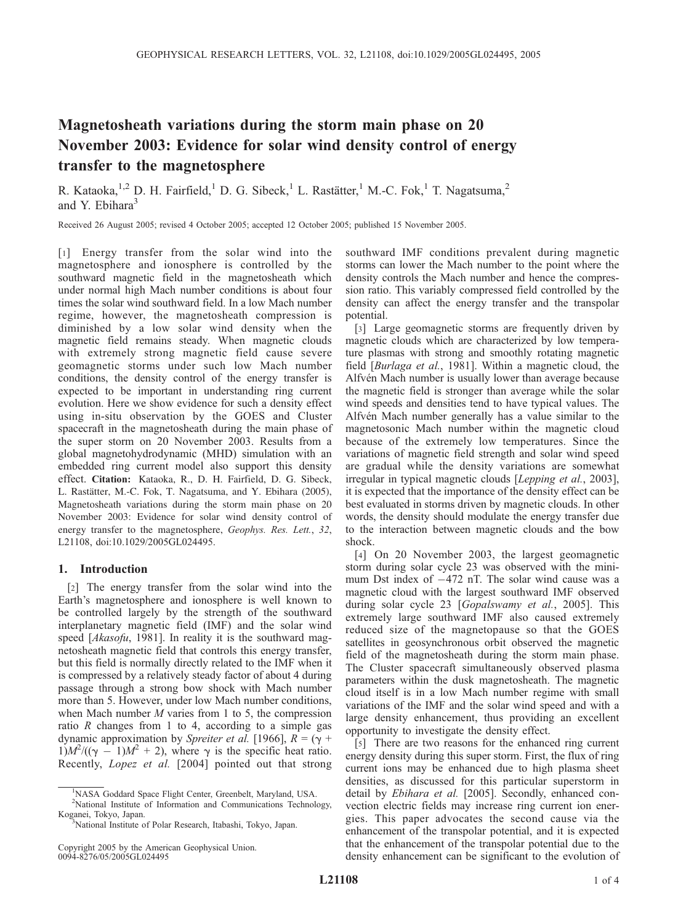# Magnetosheath variations during the storm main phase on 20 November 2003: Evidence for solar wind density control of energy transfer to the magnetosphere

R. Kataoka,<sup>1,2</sup> D. H. Fairfield,<sup>1</sup> D. G. Sibeck,<sup>1</sup> L. Rastätter,<sup>1</sup> M.-C. Fok,<sup>1</sup> T. Nagatsuma,<sup>2</sup> and Y. Ebihara<sup>3</sup>

Received 26 August 2005; revised 4 October 2005; accepted 12 October 2005; published 15 November 2005.

[1] Energy transfer from the solar wind into the magnetosphere and ionosphere is controlled by the southward magnetic field in the magnetosheath which under normal high Mach number conditions is about four times the solar wind southward field. In a low Mach number regime, however, the magnetosheath compression is diminished by a low solar wind density when the magnetic field remains steady. When magnetic clouds with extremely strong magnetic field cause severe geomagnetic storms under such low Mach number conditions, the density control of the energy transfer is expected to be important in understanding ring current evolution. Here we show evidence for such a density effect using in-situ observation by the GOES and Cluster spacecraft in the magnetosheath during the main phase of the super storm on 20 November 2003. Results from a global magnetohydrodynamic (MHD) simulation with an embedded ring current model also support this density effect. Citation: Kataoka, R., D. H. Fairfield, D. G. Sibeck, L. Rastätter, M.-C. Fok, T. Nagatsuma, and Y. Ebihara (2005), Magnetosheath variations during the storm main phase on 20 November 2003: Evidence for solar wind density control of energy transfer to the magnetosphere, Geophys. Res. Lett., 32, L21108, doi:10.1029/2005GL024495.

## 1. Introduction

[2] The energy transfer from the solar wind into the Earth's magnetosphere and ionosphere is well known to be controlled largely by the strength of the southward interplanetary magnetic field (IMF) and the solar wind speed [Akasofu, 1981]. In reality it is the southward magnetosheath magnetic field that controls this energy transfer, but this field is normally directly related to the IMF when it is compressed by a relatively steady factor of about 4 during passage through a strong bow shock with Mach number more than 5. However, under low Mach number conditions, when Mach number  $M$  varies from 1 to 5, the compression ratio  $R$  changes from 1 to 4, according to a simple gas dynamic approximation by Spreiter et al. [1966],  $R = (\gamma +$  $1)M^2/((\gamma - 1)M^2 + 2)$ , where  $\gamma$  is the specific heat ratio. Recently, Lopez et al. [2004] pointed out that strong

southward IMF conditions prevalent during magnetic storms can lower the Mach number to the point where the density controls the Mach number and hence the compression ratio. This variably compressed field controlled by the density can affect the energy transfer and the transpolar potential.

[3] Large geomagnetic storms are frequently driven by magnetic clouds which are characterized by low temperature plasmas with strong and smoothly rotating magnetic field [Burlaga et al., 1981]. Within a magnetic cloud, the Alfvén Mach number is usually lower than average because the magnetic field is stronger than average while the solar wind speeds and densities tend to have typical values. The Alfvén Mach number generally has a value similar to the magnetosonic Mach number within the magnetic cloud because of the extremely low temperatures. Since the variations of magnetic field strength and solar wind speed are gradual while the density variations are somewhat irregular in typical magnetic clouds [Lepping et al., 2003], it is expected that the importance of the density effect can be best evaluated in storms driven by magnetic clouds. In other words, the density should modulate the energy transfer due to the interaction between magnetic clouds and the bow shock.

[4] On 20 November 2003, the largest geomagnetic storm during solar cycle 23 was observed with the minimum Dst index of  $-472$  nT. The solar wind cause was a magnetic cloud with the largest southward IMF observed during solar cycle 23 [Gopalswamy et al., 2005]. This extremely large southward IMF also caused extremely reduced size of the magnetopause so that the GOES satellites in geosynchronous orbit observed the magnetic field of the magnetosheath during the storm main phase. The Cluster spacecraft simultaneously observed plasma parameters within the dusk magnetosheath. The magnetic cloud itself is in a low Mach number regime with small variations of the IMF and the solar wind speed and with a large density enhancement, thus providing an excellent opportunity to investigate the density effect.

[5] There are two reasons for the enhanced ring current energy density during this super storm. First, the flux of ring current ions may be enhanced due to high plasma sheet densities, as discussed for this particular superstorm in detail by Ebihara et al. [2005]. Secondly, enhanced convection electric fields may increase ring current ion energies. This paper advocates the second cause via the enhancement of the transpolar potential, and it is expected that the enhancement of the transpolar potential due to the density enhancement can be significant to the evolution of

<sup>&</sup>lt;sup>1</sup>NASA Goddard Space Flight Center, Greenbelt, Maryland, USA.

<sup>2</sup> National Institute of Information and Communications Technology, Koganei, Tokyo, Japan.

<sup>&</sup>lt;sup>3</sup>National Institute of Polar Research, Itabashi, Tokyo, Japan.

Copyright 2005 by the American Geophysical Union. 0094-8276/05/2005GL024495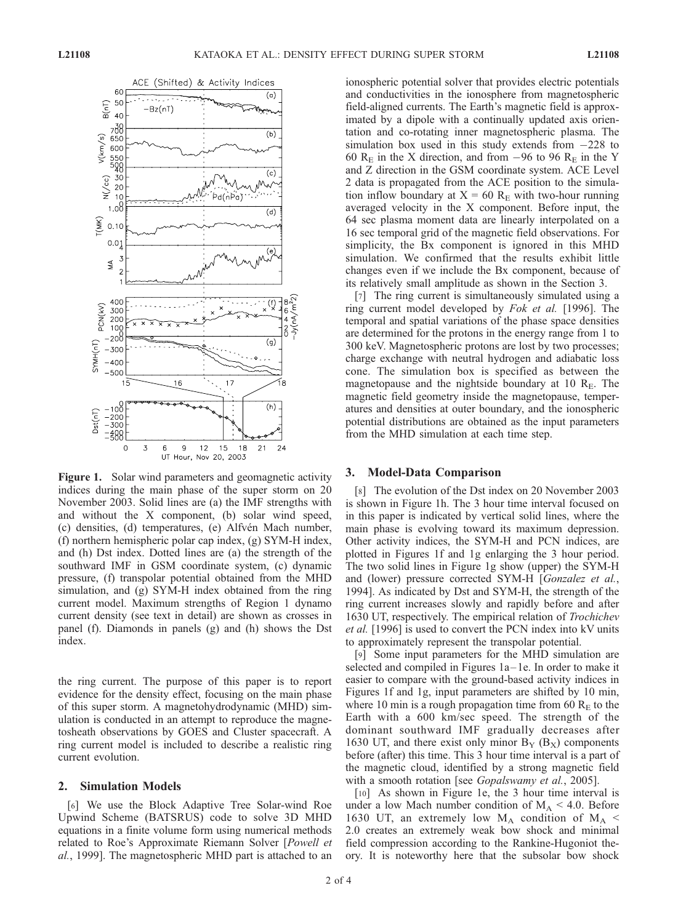

Figure 1. Solar wind parameters and geomagnetic activity indices during the main phase of the super storm on 20 November 2003. Solid lines are (a) the IMF strengths with and without the X component, (b) solar wind speed, (c) densities, (d) temperatures, (e) Alfvén Mach number, (f) northern hemispheric polar cap index, (g) SYM-H index, and (h) Dst index. Dotted lines are (a) the strength of the southward IMF in GSM coordinate system, (c) dynamic pressure, (f) transpolar potential obtained from the MHD simulation, and (g) SYM-H index obtained from the ring current model. Maximum strengths of Region 1 dynamo current density (see text in detail) are shown as crosses in panel (f). Diamonds in panels (g) and (h) shows the Dst index.

the ring current. The purpose of this paper is to report evidence for the density effect, focusing on the main phase of this super storm. A magnetohydrodynamic (MHD) simulation is conducted in an attempt to reproduce the magnetosheath observations by GOES and Cluster spacecraft. A ring current model is included to describe a realistic ring current evolution.

### 2. Simulation Models

[6] We use the Block Adaptive Tree Solar-wind Roe Upwind Scheme (BATSRUS) code to solve 3D MHD equations in a finite volume form using numerical methods related to Roe's Approximate Riemann Solver [Powell et al., 1999]. The magnetospheric MHD part is attached to an ionospheric potential solver that provides electric potentials and conductivities in the ionosphere from magnetospheric field-aligned currents. The Earth's magnetic field is approximated by a dipole with a continually updated axis orientation and co-rotating inner magnetospheric plasma. The simulation box used in this study extends from  $-228$  to 60  $R_E$  in the X direction, and from -96 to 96  $R_E$  in the Y and Z direction in the GSM coordinate system. ACE Level 2 data is propagated from the ACE position to the simulation inflow boundary at  $X = 60$  R<sub>E</sub> with two-hour running averaged velocity in the X component. Before input, the 64 sec plasma moment data are linearly interpolated on a 16 sec temporal grid of the magnetic field observations. For simplicity, the Bx component is ignored in this MHD simulation. We confirmed that the results exhibit little changes even if we include the Bx component, because of its relatively small amplitude as shown in the Section 3.

[7] The ring current is simultaneously simulated using a ring current model developed by Fok et al. [1996]. The temporal and spatial variations of the phase space densities are determined for the protons in the energy range from 1 to 300 keV. Magnetospheric protons are lost by two processes; charge exchange with neutral hydrogen and adiabatic loss cone. The simulation box is specified as between the magnetopause and the nightside boundary at 10  $R<sub>E</sub>$ . The magnetic field geometry inside the magnetopause, temperatures and densities at outer boundary, and the ionospheric potential distributions are obtained as the input parameters from the MHD simulation at each time step.

#### 3. Model-Data Comparison

[8] The evolution of the Dst index on 20 November 2003 is shown in Figure 1h. The 3 hour time interval focused on in this paper is indicated by vertical solid lines, where the main phase is evolving toward its maximum depression. Other activity indices, the SYM-H and PCN indices, are plotted in Figures 1f and 1g enlarging the 3 hour period. The two solid lines in Figure 1g show (upper) the SYM-H and (lower) pressure corrected SYM-H [Gonzalez et al., 1994]. As indicated by Dst and SYM-H, the strength of the ring current increases slowly and rapidly before and after 1630 UT, respectively. The empirical relation of Trochichev et al. [1996] is used to convert the PCN index into kV units to approximately represent the transpolar potential.

[9] Some input parameters for the MHD simulation are selected and compiled in Figures 1a-1e. In order to make it easier to compare with the ground-based activity indices in Figures 1f and 1g, input parameters are shifted by 10 min, where 10 min is a rough propagation time from 60  $R<sub>E</sub>$  to the Earth with a 600 km/sec speed. The strength of the dominant southward IMF gradually decreases after 1630 UT, and there exist only minor  $B_Y$  ( $B_X$ ) components before (after) this time. This 3 hour time interval is a part of the magnetic cloud, identified by a strong magnetic field with a smooth rotation [see *Gopalswamy et al.*, 2005].

[10] As shown in Figure 1e, the 3 hour time interval is under a low Mach number condition of  $M_A < 4.0$ . Before 1630 UT, an extremely low  $M_A$  condition of  $M_A$  < 2.0 creates an extremely weak bow shock and minimal field compression according to the Rankine-Hugoniot theory. It is noteworthy here that the subsolar bow shock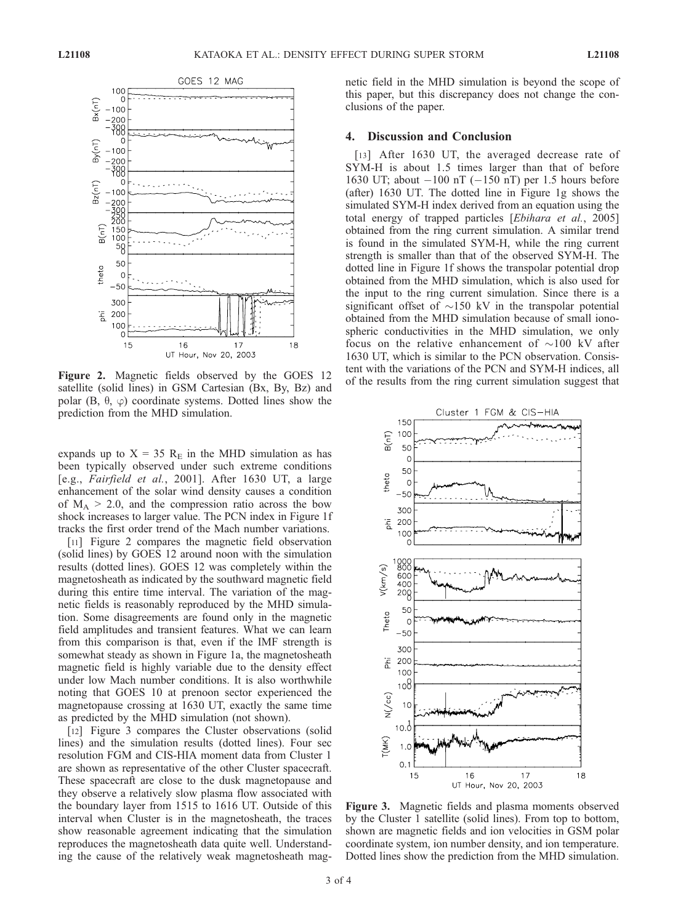

Figure 2. Magnetic fields observed by the GOES 12  $\frac{1}{2}$  of the results from the ring current simulation suggest that  $\frac{1}{2}$  of the results from the ring current simulation suggest that satellite (solid lines) in GSM Cartesian (Bx, By, Bz) and polar (B,  $\theta$ ,  $\varphi$ ) coordinate systems. Dotted lines show the prediction from the MHD simulation.

expands up to  $X = 35$  R<sub>E</sub> in the MHD simulation as has been typically observed under such extreme conditions [e.g., Fairfield et al., 2001]. After 1630 UT, a large enhancement of the solar wind density causes a condition of  $M_A > 2.0$ , and the compression ratio across the bow shock increases to larger value. The PCN index in Figure 1f tracks the first order trend of the Mach number variations.

[11] Figure 2 compares the magnetic field observation (solid lines) by GOES 12 around noon with the simulation results (dotted lines). GOES 12 was completely within the magnetosheath as indicated by the southward magnetic field during this entire time interval. The variation of the magnetic fields is reasonably reproduced by the MHD simulation. Some disagreements are found only in the magnetic field amplitudes and transient features. What we can learn from this comparison is that, even if the IMF strength is somewhat steady as shown in Figure 1a, the magnetosheath magnetic field is highly variable due to the density effect under low Mach number conditions. It is also worthwhile noting that GOES 10 at prenoon sector experienced the magnetopause crossing at 1630 UT, exactly the same time as predicted by the MHD simulation (not shown).

[12] Figure 3 compares the Cluster observations (solid lines) and the simulation results (dotted lines). Four sec resolution FGM and CIS-HIA moment data from Cluster 1 are shown as representative of the other Cluster spacecraft. These spacecraft are close to the dusk magnetopause and they observe a relatively slow plasma flow associated with the boundary layer from 1515 to 1616 UT. Outside of this interval when Cluster is in the magnetosheath, the traces show reasonable agreement indicating that the simulation reproduces the magnetosheath data quite well. Understanding the cause of the relatively weak magnetosheath magnetic field in the MHD simulation is beyond the scope of this paper, but this discrepancy does not change the conclusions of the paper.

## 4. Discussion and Conclusion

[13] After 1630 UT, the averaged decrease rate of SYM-H is about 1.5 times larger than that of before 1630 UT; about  $-100$  nT ( $-150$  nT) per 1.5 hours before (after) 1630 UT. The dotted line in Figure 1g shows the simulated SYM-H index derived from an equation using the total energy of trapped particles [Ebihara et al., 2005] obtained from the ring current simulation. A similar trend is found in the simulated SYM-H, while the ring current strength is smaller than that of the observed SYM-H. The dotted line in Figure 1f shows the transpolar potential drop obtained from the MHD simulation, which is also used for the input to the ring current simulation. Since there is a significant offset of  $\sim$ 150 kV in the transpolar potential obtained from the MHD simulation because of small ionospheric conductivities in the MHD simulation, we only focus on the relative enhancement of  $\sim$ 100 kV after 1630 UT, which is similar to the PCN observation. Consistent with the variations of the PCN and SYM-H indices, all



Figure 3. Magnetic fields and plasma moments observed by the Cluster 1 satellite (solid lines). From top to bottom, shown are magnetic fields and ion velocities in GSM polar coordinate system, ion number density, and ion temperature. Dotted lines show the prediction from the MHD simulation.